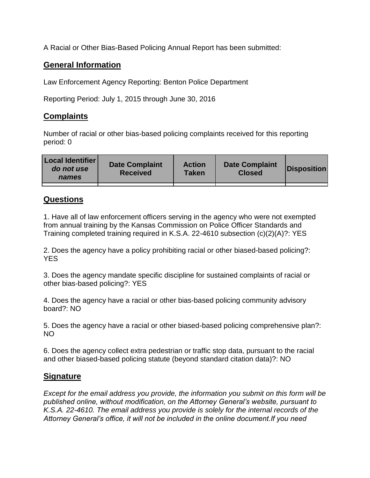A Racial or Other Bias-Based Policing Annual Report has been submitted:

## **General Information**

Law Enforcement Agency Reporting: Benton Police Department

Reporting Period: July 1, 2015 through June 30, 2016

## **Complaints**

Number of racial or other bias-based policing complaints received for this reporting period: 0

| <b>Local Identifier</b><br>do not use<br>names | <b>Date Complaint</b><br><b>Received</b> | <b>Action</b><br><b>Taken</b> | <b>Date Complaint</b><br><b>Closed</b> | Disposition |
|------------------------------------------------|------------------------------------------|-------------------------------|----------------------------------------|-------------|
|                                                |                                          |                               |                                        |             |

## **Questions**

1. Have all of law enforcement officers serving in the agency who were not exempted from annual training by the Kansas Commission on Police Officer Standards and Training completed training required in K.S.A. 22-4610 subsection (c)(2)(A)?: YES

2. Does the agency have a policy prohibiting racial or other biased-based policing?: YES

3. Does the agency mandate specific discipline for sustained complaints of racial or other bias-based policing?: YES

4. Does the agency have a racial or other bias-based policing community advisory board?: NO

5. Does the agency have a racial or other biased-based policing comprehensive plan?: NO

6. Does the agency collect extra pedestrian or traffic stop data, pursuant to the racial and other biased-based policing statute (beyond standard citation data)?: NO

## **Signature**

*Except for the email address you provide, the information you submit on this form will be published online, without modification, on the Attorney General's website, pursuant to K.S.A. 22-4610. The email address you provide is solely for the internal records of the Attorney General's office, it will not be included in the online document.If you need*